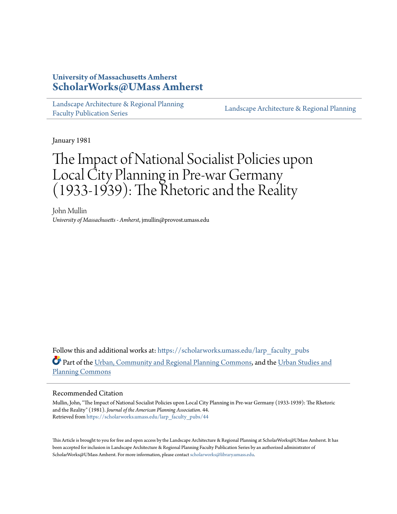# **University of Massachusetts Amherst [ScholarWorks@UMass Amherst](https://scholarworks.umass.edu?utm_source=scholarworks.umass.edu%2Flarp_faculty_pubs%2F44&utm_medium=PDF&utm_campaign=PDFCoverPages)**

[Landscape Architecture & Regional Planning](https://scholarworks.umass.edu/larp_faculty_pubs?utm_source=scholarworks.umass.edu%2Flarp_faculty_pubs%2F44&utm_medium=PDF&utm_campaign=PDFCoverPages) [Faculty Publication Series](https://scholarworks.umass.edu/larp_faculty_pubs?utm_source=scholarworks.umass.edu%2Flarp_faculty_pubs%2F44&utm_medium=PDF&utm_campaign=PDFCoverPages)

[Landscape Architecture & Regional Planning](https://scholarworks.umass.edu/larp?utm_source=scholarworks.umass.edu%2Flarp_faculty_pubs%2F44&utm_medium=PDF&utm_campaign=PDFCoverPages)

January 1981

# The Impact of National Socialist Policies upon Local City Planning in Pre-war Germany (1933-1939): The Rhetoric and the Reality

John Mullin *University of Massachusetts - Amherst*, jmullin@provost.umass.edu

Follow this and additional works at: [https://scholarworks.umass.edu/larp\\_faculty\\_pubs](https://scholarworks.umass.edu/larp_faculty_pubs?utm_source=scholarworks.umass.edu%2Flarp_faculty_pubs%2F44&utm_medium=PDF&utm_campaign=PDFCoverPages) Part of the [Urban, Community and Regional Planning Commons](http://network.bepress.com/hgg/discipline/776?utm_source=scholarworks.umass.edu%2Flarp_faculty_pubs%2F44&utm_medium=PDF&utm_campaign=PDFCoverPages), and the [Urban Studies and](http://network.bepress.com/hgg/discipline/436?utm_source=scholarworks.umass.edu%2Flarp_faculty_pubs%2F44&utm_medium=PDF&utm_campaign=PDFCoverPages) [Planning Commons](http://network.bepress.com/hgg/discipline/436?utm_source=scholarworks.umass.edu%2Flarp_faculty_pubs%2F44&utm_medium=PDF&utm_campaign=PDFCoverPages)

#### Recommended Citation

Mullin, John, "The Impact of National Socialist Policies upon Local City Planning in Pre-war Germany (1933-1939): The Rhetoric and the Reality" (1981). *Journal of the American Planning Association*. 44. Retrieved from [https://scholarworks.umass.edu/larp\\_faculty\\_pubs/44](https://scholarworks.umass.edu/larp_faculty_pubs/44?utm_source=scholarworks.umass.edu%2Flarp_faculty_pubs%2F44&utm_medium=PDF&utm_campaign=PDFCoverPages)

This Article is brought to you for free and open access by the Landscape Architecture & Regional Planning at ScholarWorks@UMass Amherst. It has been accepted for inclusion in Landscape Architecture & Regional Planning Faculty Publication Series by an authorized administrator of ScholarWorks@UMass Amherst. For more information, please contact [scholarworks@library.umass.edu.](mailto:scholarworks@library.umass.edu)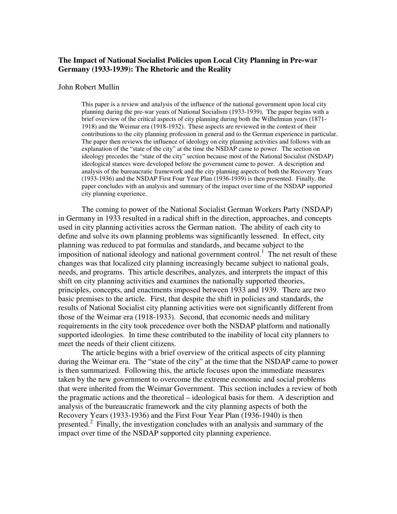# **The Impact of National Socialist Policies upon Local City Planning in Pre-war Germany (1933-1939): The Rhetoric and the Reality**

#### John Robert Mullin

This paper is a review and analysis of the influence of the national government upon local city planning during the pre-war years of National Socialism (1933-1939). The paper begins with a brief overview of the critical aspects of city planning during both the Wilhelmian years (1871- 1918) and the Weimar era (1918-1932). These aspects are reviewed in the context of their contributions to the city planning profession in general and to the German experience in particular. The paper then reviews the influence of ideology on city planning activities and follows with an explanation of the "state of the city" at the time the NSDAP came to power. The section on ideology precedes the "state of the city" section because most of the National Socialist (NSDAP) ideological stances were developed before the government came to power. A description and analysis of the bureaucratic framework and the city planning aspects of both the Recovery Years (1933-1936) and the NSDAP First Four Year Plan (1936-1939) is then presented. Finally, the paper concludes with an analysis and summary of the impact over time of the NSDAP supported city planning experience.

The coming to power of the National Socialist German Workers Party (NSDAP) in Germany in 1933 resulted in a radical shift in the direction, approaches, and concepts used in city planning activities across the German nation. The ability of each city to define and solve its own planning problems was significantly lessened. In effect, city planning was reduced to pat formulas and standards, and became subject to the imposition of national ideology and national government control.<sup>1</sup> The net result of these changes was that localized city planning increasingly became subject to national goals, needs, and programs. This article describes, analyzes, and interprets the impact of this shift on city planning activities and examines the nationally supported theories, principles, concepts, and enactments imposed between 1933 and 1939. There are two basic premises to the article. First, that despite the shift in policies and standards, the results of National Socialist city planning activities were not significantly different from those of the Weimar era (1918-1933). Second, that economic needs and military requirements in the city took precedence over both the NSDAP platform and nationally supported ideologies. In time these contributed to the inability of local city planners to meet the needs of their client citizens.

 The article begins with a brief overview of the critical aspects of city planning during the Weimar era. The "state of the city" at the time that the NSDAP came to power is then summarized. Following this, the article focuses upon the immediate measures taken by the new government to overcome the extreme economic and social problems that were inherited from the Weimar Government. This section includes a review of both the pragmatic actions and the theoretical – ideological basis for them. A description and analysis of the bureaucratic framework and the city planning aspects of both the Recovery Years (1933-1936) and the First Four Year Plan (1936-1940) is then presented.<sup>2</sup> Finally, the investigation concludes with an analysis and summary of the impact over time of the NSDAP supported city planning experience.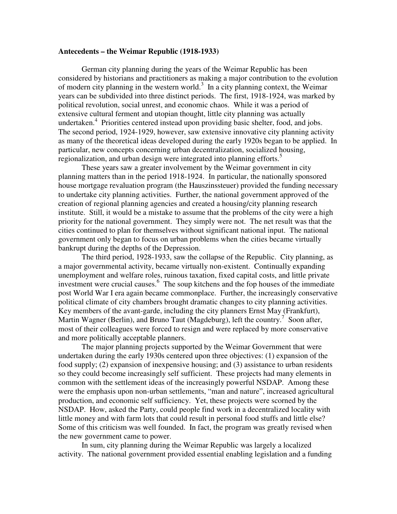#### **Antecedents – the Weimar Republic (1918-1933)**

 German city planning during the years of the Weimar Republic has been considered by historians and practitioners as making a major contribution to the evolution of modern city planning in the western world.<sup>3</sup> In a city planning context, the Weimar years can be subdivided into three distinct periods. The first, 1918-1924, was marked by political revolution, social unrest, and economic chaos. While it was a period of extensive cultural ferment and utopian thought, little city planning was actually undertaken.<sup>4</sup> Priorities centered instead upon providing basic shelter, food, and jobs. The second period, 1924-1929, however, saw extensive innovative city planning activity as many of the theoretical ideas developed during the early 1920s began to be applied. In particular, new concepts concerning urban decentralization, socialized housing, regionalization, and urban design were integrated into planning efforts.<sup>5</sup>

 These years saw a greater involvement by the Weimar government in city planning matters than in the period 1918-1924. In particular, the nationally sponsored house mortgage revaluation program (the Hauszinssteuer) provided the funding necessary to undertake city planning activities. Further, the national government approved of the creation of regional planning agencies and created a housing/city planning research institute. Still, it would be a mistake to assume that the problems of the city were a high priority for the national government. They simply were not. The net result was that the cities continued to plan for themselves without significant national input. The national government only began to focus on urban problems when the cities became virtually bankrupt during the depths of the Depression.

 The third period, 1928-1933, saw the collapse of the Republic. City planning, as a major governmental activity, became virtually non-existent. Continually expanding unemployment and welfare roles, ruinous taxation, fixed capital costs, and little private investment were crucial causes.<sup>6</sup> The soup kitchens and the fop houses of the immediate post World War I era again became commonplace. Further, the increasingly conservative political climate of city chambers brought dramatic changes to city planning activities. Key members of the avant-garde, including the city planners Ernst May (Frankfurt), Martin Wagner (Berlin), and Bruno Taut (Magdeburg), left the country.<sup>7</sup> Soon after, most of their colleagues were forced to resign and were replaced by more conservative and more politically acceptable planners.

 The major planning projects supported by the Weimar Government that were undertaken during the early 1930s centered upon three objectives: (1) expansion of the food supply; (2) expansion of inexpensive housing; and (3) assistance to urban residents so they could become increasingly self sufficient. These projects had many elements in common with the settlement ideas of the increasingly powerful NSDAP. Among these were the emphasis upon non-urban settlements, "man and nature", increased agricultural production, and economic self sufficiency. Yet, these projects were scorned by the NSDAP. How, asked the Party, could people find work in a decentralized locality with little money and with farm lots that could result in personal food stuffs and little else? Some of this criticism was well founded. In fact, the program was greatly revised when the new government came to power.

 In sum, city planning during the Weimar Republic was largely a localized activity. The national government provided essential enabling legislation and a funding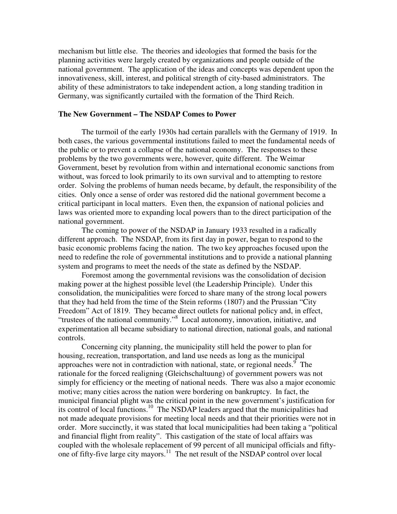mechanism but little else. The theories and ideologies that formed the basis for the planning activities were largely created by organizations and people outside of the national government. The application of the ideas and concepts was dependent upon the innovativeness, skill, interest, and political strength of city-based administrators. The ability of these administrators to take independent action, a long standing tradition in Germany, was significantly curtailed with the formation of the Third Reich.

# **The New Government – The NSDAP Comes to Power**

 The turmoil of the early 1930s had certain parallels with the Germany of 1919. In both cases, the various governmental institutions failed to meet the fundamental needs of the public or to prevent a collapse of the national economy. The responses to these problems by the two governments were, however, quite different. The Weimar Government, beset by revolution from within and international economic sanctions from without, was forced to look primarily to its own survival and to attempting to restore order. Solving the problems of human needs became, by default, the responsibility of the cities. Only once a sense of order was restored did the national government become a critical participant in local matters. Even then, the expansion of national policies and laws was oriented more to expanding local powers than to the direct participation of the national government.

 The coming to power of the NSDAP in January 1933 resulted in a radically different approach. The NSDAP, from its first day in power, began to respond to the basic economic problems facing the nation. The two key approaches focused upon the need to redefine the role of governmental institutions and to provide a national planning system and programs to meet the needs of the state as defined by the NSDAP.

 Foremost among the governmental revisions was the consolidation of decision making power at the highest possible level (the Leadership Principle). Under this consolidation, the municipalities were forced to share many of the strong local powers that they had held from the time of the Stein reforms (1807) and the Prussian "City Freedom" Act of 1819. They became direct outlets for national policy and, in effect, "trustees of the national community."<sup>8</sup> Local autonomy, innovation, initiative, and experimentation all became subsidiary to national direction, national goals, and national controls.

 Concerning city planning, the municipality still held the power to plan for housing, recreation, transportation, and land use needs as long as the municipal approaches were not in contradiction with national, state, or regional needs.  $\int$  The rationale for the forced realigning (Gleichschaltuung) of government powers was not simply for efficiency or the meeting of national needs. There was also a major economic motive; many cities across the nation were bordering on bankruptcy. In fact, the municipal financial plight was the critical point in the new government's justification for its control of local functions.<sup>10</sup> The NSDAP leaders argued that the municipalities had not made adequate provisions for meeting local needs and that their priorities were not in order. More succinctly, it was stated that local municipalities had been taking a "political and financial flight from reality". This castigation of the state of local affairs was coupled with the wholesale replacement of 99 percent of all municipal officials and fiftyone of fifty-five large city mayors.<sup>11</sup> The net result of the NSDAP control over local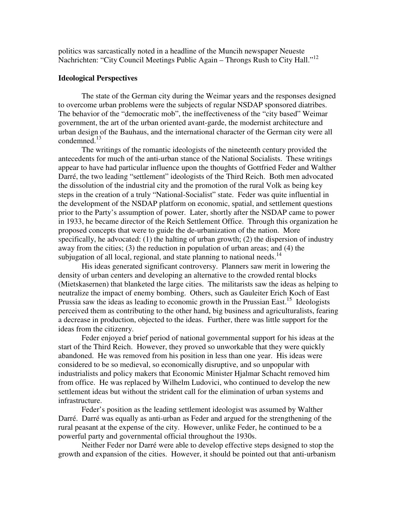politics was sarcastically noted in a headline of the Muncih newspaper Neueste Nachrichten: "City Council Meetings Public Again – Throngs Rush to City Hall."<sup>12</sup>

### **Ideological Perspectives**

 The state of the German city during the Weimar years and the responses designed to overcome urban problems were the subjects of regular NSDAP sponsored diatribes. The behavior of the "democratic mob", the ineffectiveness of the "city based" Weimar government, the art of the urban oriented avant-garde, the modernist architecture and urban design of the Bauhaus, and the international character of the German city were all  $\frac{13}{2}$ 

 The writings of the romantic ideologists of the nineteenth century provided the antecedents for much of the anti-urban stance of the National Socialists. These writings appear to have had particular influence upon the thoughts of Gottfried Feder and Walther Darré, the two leading "settlement" ideologists of the Third Reich. Both men advocated the dissolution of the industrial city and the promotion of the rural Volk as being key steps in the creation of a truly "National-Socialist" state. Feder was quite influential in the development of the NSDAP platform on economic, spatial, and settlement questions prior to the Party's assumption of power. Later, shortly after the NSDAP came to power in 1933, he became director of the Reich Settlement Office. Through this organization he proposed concepts that were to guide the de-urbanization of the nation. More specifically, he advocated: (1) the halting of urban growth; (2) the dispersion of industry away from the cities; (3) the reduction in population of urban areas; and (4) the subjugation of all local, regional, and state planning to national needs.<sup>14</sup>

 His ideas generated significant controversy. Planners saw merit in lowering the density of urban centers and developing an alternative to the crowded rental blocks (Mietskasernen) that blanketed the large cities. The militarists saw the ideas as helping to neutralize the impact of enemy bombing. Others, such as Gauleiter Erich Koch of East Prussia saw the ideas as leading to economic growth in the Prussian East.<sup>15</sup> Ideologists perceived them as contributing to the other hand, big business and agriculturalists, fearing a decrease in production, objected to the ideas. Further, there was little support for the ideas from the citizenry.

 Feder enjoyed a brief period of national governmental support for his ideas at the start of the Third Reich. However, they proved so unworkable that they were quickly abandoned. He was removed from his position in less than one year. His ideas were considered to be so medieval, so economically disruptive, and so unpopular with industrialists and policy makers that Economic Minister Hjalmar Schacht removed him from office. He was replaced by Wilhelm Ludovici, who continued to develop the new settlement ideas but without the strident call for the elimination of urban systems and infrastructure.

 Feder's position as the leading settlement ideologist was assumed by Walther Darré. Darré was equally as anti-urban as Feder and argued for the strengthening of the rural peasant at the expense of the city. However, unlike Feder, he continued to be a powerful party and governmental official throughout the 1930s.

 Neither Feder nor Darré were able to develop effective steps designed to stop the growth and expansion of the cities. However, it should be pointed out that anti-urbanism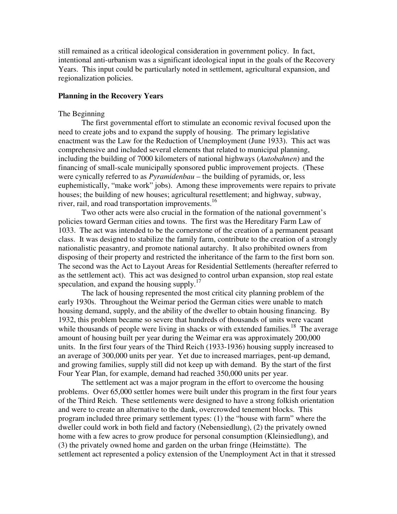still remained as a critical ideological consideration in government policy. In fact, intentional anti-urbanism was a significant ideological input in the goals of the Recovery Years. This input could be particularly noted in settlement, agricultural expansion, and regionalization policies.

#### **Planning in the Recovery Years**

## The Beginning

 The first governmental effort to stimulate an economic revival focused upon the need to create jobs and to expand the supply of housing. The primary legislative enactment was the Law for the Reduction of Unemployment (June 1933). This act was comprehensive and included several elements that related to municipal planning, including the building of 7000 kilometers of national highways (*Autobahnen*) and the financing of small-scale municipally sponsored public improvement projects. (These were cynically referred to as *Pyramidenbau* – the building of pyramids, or, less euphemistically, "make work" jobs). Among these improvements were repairs to private houses; the building of new houses; agricultural resettlement; and highway, subway, river, rail, and road transportation improvements.<sup>16</sup>

 Two other acts were also crucial in the formation of the national government's policies toward German cities and towns. The first was the Hereditary Farm Law of 1033. The act was intended to be the cornerstone of the creation of a permanent peasant class. It was designed to stabilize the family farm, contribute to the creation of a strongly nationalistic peasantry, and promote national autarchy. It also prohibited owners from disposing of their property and restricted the inheritance of the farm to the first born son. The second was the Act to Layout Areas for Residential Settlements (hereafter referred to as the settlement act). This act was designed to control urban expansion, stop real estate speculation, and expand the housing supply. $17$ 

 The lack of housing represented the most critical city planning problem of the early 1930s. Throughout the Weimar period the German cities were unable to match housing demand, supply, and the ability of the dweller to obtain housing financing. By 1932, this problem became so severe that hundreds of thousands of units were vacant while thousands of people were living in shacks or with extended families.<sup>18</sup> The average amount of housing built per year during the Weimar era was approximately 200,000 units. In the first four years of the Third Reich (1933-1936) housing supply increased to an average of 300,000 units per year. Yet due to increased marriages, pent-up demand, and growing families, supply still did not keep up with demand. By the start of the first Four Year Plan, for example, demand had reached 350,000 units per year.

 The settlement act was a major program in the effort to overcome the housing problems. Over 65,000 settler homes were built under this program in the first four years of the Third Reich. These settlements were designed to have a strong folkish orientation and were to create an alternative to the dank, overcrowded tenement blocks. This program included three primary settlement types: (1) the "house with farm" where the dweller could work in both field and factory (Nebensiedlung), (2) the privately owned home with a few acres to grow produce for personal consumption (Kleinsiedlung), and (3) the privately owned home and garden on the urban fringe (Heimstätte). The settlement act represented a policy extension of the Unemployment Act in that it stressed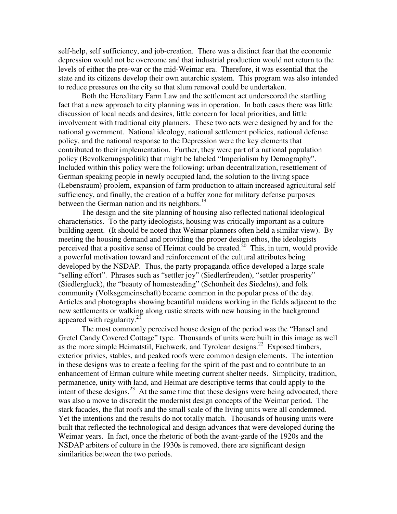self-help, self sufficiency, and job-creation. There was a distinct fear that the economic depression would not be overcome and that industrial production would not return to the levels of either the pre-war or the mid-Weimar era. Therefore, it was essential that the state and its citizens develop their own autarchic system. This program was also intended to reduce pressures on the city so that slum removal could be undertaken.

 Both the Hereditary Farm Law and the settlement act underscored the startling fact that a new approach to city planning was in operation. In both cases there was little discussion of local needs and desires, little concern for local priorities, and little involvement with traditional city planners. These two acts were designed by and for the national government. National ideology, national settlement policies, national defense policy, and the national response to the Depression were the key elements that contributed to their implementation. Further, they were part of a national population policy (Bevolkerungspolitik) that might be labeled "Imperialism by Demography". Included within this policy were the following: urban decentralization, resettlement of German speaking people in newly occupied land, the solution to the living space (Lebensraum) problem, expansion of farm production to attain increased agricultural self sufficiency, and finally, the creation of a buffer zone for military defense purposes between the German nation and its neighbors.<sup>19</sup>

 The design and the site planning of housing also reflected national ideological characteristics. To the party ideologists, housing was critically important as a culture building agent. (It should be noted that Weimar planners often held a similar view). By meeting the housing demand and providing the proper design ethos, the ideologists perceived that a positive sense of Heimat could be created.<sup>20</sup> This, in turn, would provide a powerful motivation toward and reinforcement of the cultural attributes being developed by the NSDAP. Thus, the party propaganda office developed a large scale "selling effort". Phrases such as "settler joy" (Siedlerfreuden), "settler prosperity" (Siedlergluck), the "beauty of homesteading" (Schönheit des Siedelns), and folk community (Volksgemeinschaft) became common in the popular press of the day. Articles and photographs showing beautiful maidens working in the fields adjacent to the new settlements or walking along rustic streets with new housing in the background appeared with regularity. $2<sup>1</sup>$ 

 The most commonly perceived house design of the period was the "Hansel and Gretel Candy Covered Cottage" type. Thousands of units were built in this image as well as the more simple Heimatstil, Fachwerk, and Tyrolean designs.<sup>22</sup> Exposed timbers, exterior privies, stables, and peaked roofs were common design elements. The intention in these designs was to create a feeling for the spirit of the past and to contribute to an enhancement of Erman culture while meeting current shelter needs. Simplicity, tradition, permanence, unity with land, and Heimat are descriptive terms that could apply to the intent of these designs.<sup>23</sup> At the same time that these designs were being advocated, there was also a move to discredit the modernist design concepts of the Weimar period. The stark facades, the flat roofs and the small scale of the living units were all condemned. Yet the intentions and the results do not totally match. Thousands of housing units were built that reflected the technological and design advances that were developed during the Weimar years. In fact, once the rhetoric of both the avant-garde of the 1920s and the NSDAP arbiters of culture in the 1930s is removed, there are significant design similarities between the two periods.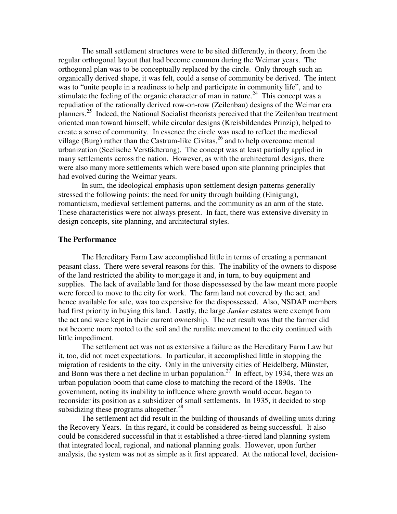The small settlement structures were to be sited differently, in theory, from the regular orthogonal layout that had become common during the Weimar years. The orthogonal plan was to be conceptually replaced by the circle. Only through such an organically derived shape, it was felt, could a sense of community be derived. The intent was to "unite people in a readiness to help and participate in community life", and to stimulate the feeling of the organic character of man in nature.<sup>24</sup> This concept was a repudiation of the rationally derived row-on-row (Zeilenbau) designs of the Weimar era planners.<sup>25</sup> Indeed, the National Socialist theorists perceived that the Zeilenbau treatment oriented man toward himself, while circular designs (Kreisbildendes Prinzip), helped to create a sense of community. In essence the circle was used to reflect the medieval village (Burg) rather than the Castrum-like Civitas,  $^{26}$  and to help overcome mental urbanization (Seelische Verstädterung). The concept was at least partially applied in many settlements across the nation. However, as with the architectural designs, there were also many more settlements which were based upon site planning principles that had evolved during the Weimar years.

 In sum, the ideological emphasis upon settlement design patterns generally stressed the following points: the need for unity through building (Einigung), romanticism, medieval settlement patterns, and the community as an arm of the state. These characteristics were not always present. In fact, there was extensive diversity in design concepts, site planning, and architectural styles.

#### **The Performance**

 The Hereditary Farm Law accomplished little in terms of creating a permanent peasant class. There were several reasons for this. The inability of the owners to dispose of the land restricted the ability to mortgage it and, in turn, to buy equipment and supplies. The lack of available land for those dispossessed by the law meant more people were forced to move to the city for work. The farm land not covered by the act, and hence available for sale, was too expensive for the dispossessed. Also, NSDAP members had first priority in buying this land. Lastly, the large *Junker* estates were exempt from the act and were kept in their current ownership. The net result was that the farmer did not become more rooted to the soil and the ruralite movement to the city continued with little impediment.

 The settlement act was not as extensive a failure as the Hereditary Farm Law but it, too, did not meet expectations. In particular, it accomplished little in stopping the migration of residents to the city. Only in the university cities of Heidelberg, Münster, and Bonn was there a net decline in urban population.<sup>27</sup> In effect, by 1934, there was an urban population boom that came close to matching the record of the 1890s. The government, noting its inability to influence where growth would occur, began to reconsider its position as a subsidizer of small settlements. In 1935, it decided to stop subsidizing these programs altogether. $28$ 

 The settlement act did result in the building of thousands of dwelling units during the Recovery Years. In this regard, it could be considered as being successful. It also could be considered successful in that it established a three-tiered land planning system that integrated local, regional, and national planning goals. However, upon further analysis, the system was not as simple as it first appeared. At the national level, decision-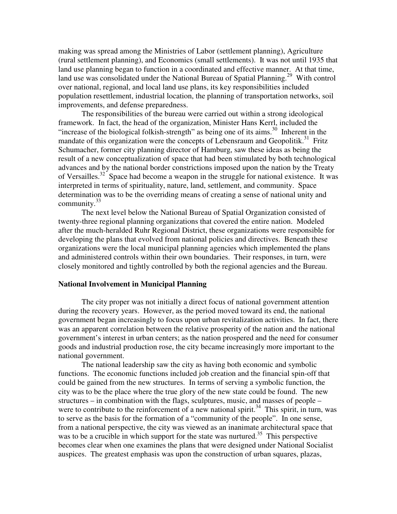making was spread among the Ministries of Labor (settlement planning), Agriculture (rural settlement planning), and Economics (small settlements). It was not until 1935 that land use planning began to function in a coordinated and effective manner. At that time, land use was consolidated under the National Bureau of Spatial Planning.<sup>29</sup> With control over national, regional, and local land use plans, its key responsibilities included population resettlement, industrial location, the planning of transportation networks, soil improvements, and defense preparedness.

 The responsibilities of the bureau were carried out within a strong ideological framework. In fact, the head of the organization, Minister Hans Kerrl, included the "increase of the biological folkish-strength" as being one of its aims.<sup>30</sup> Inherent in the mandate of this organization were the concepts of Lebensraum and Geopolitik.<sup>31</sup> Fritz Schumacher, former city planning director of Hamburg, saw these ideas as being the result of a new conceptualization of space that had been stimulated by both technological advances and by the national border constrictions imposed upon the nation by the Treaty of Versailles.<sup>32</sup> Space had become a weapon in the struggle for national existence. It was interpreted in terms of spirituality, nature, land, settlement, and community. Space determination was to be the overriding means of creating a sense of national unity and community.<sup>33</sup>

 The next level below the National Bureau of Spatial Organization consisted of twenty-three regional planning organizations that covered the entire nation. Modeled after the much-heralded Ruhr Regional District, these organizations were responsible for developing the plans that evolved from national policies and directives. Beneath these organizations were the local municipal planning agencies which implemented the plans and administered controls within their own boundaries. Their responses, in turn, were closely monitored and tightly controlled by both the regional agencies and the Bureau.

#### **National Involvement in Municipal Planning**

 The city proper was not initially a direct focus of national government attention during the recovery years. However, as the period moved toward its end, the national government began increasingly to focus upon urban revitalization activities. In fact, there was an apparent correlation between the relative prosperity of the nation and the national government's interest in urban centers; as the nation prospered and the need for consumer goods and industrial production rose, the city became increasingly more important to the national government.

 The national leadership saw the city as having both economic and symbolic functions. The economic functions included job creation and the financial spin-off that could be gained from the new structures. In terms of serving a symbolic function, the city was to be the place where the true glory of the new state could be found. The new structures – in combination with the flags, sculptures, music, and masses of people – were to contribute to the reinforcement of a new national spirit.<sup>34</sup> This spirit, in turn, was to serve as the basis for the formation of a "community of the people". In one sense, from a national perspective, the city was viewed as an inanimate architectural space that was to be a crucible in which support for the state was nurtured.<sup>35</sup> This perspective becomes clear when one examines the plans that were designed under National Socialist auspices. The greatest emphasis was upon the construction of urban squares, plazas,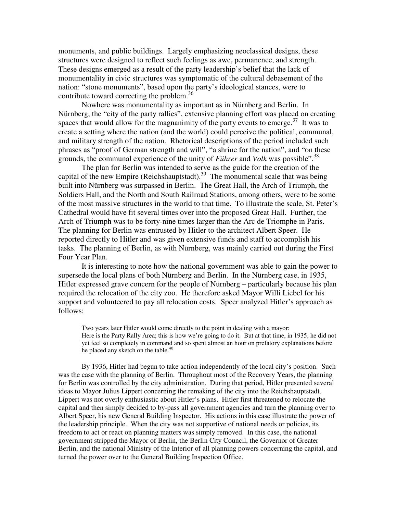monuments, and public buildings. Largely emphasizing neoclassical designs, these structures were designed to reflect such feelings as awe, permanence, and strength. These designs emerged as a result of the party leadership's belief that the lack of monumentality in civic structures was symptomatic of the cultural debasement of the nation: "stone monuments", based upon the party's ideological stances, were to contribute toward correcting the problem.<sup>36</sup>

 Nowhere was monumentality as important as in Nürnberg and Berlin. In Nürnberg, the "city of the party rallies", extensive planning effort was placed on creating spaces that would allow for the magnanimity of the party events to emerge.<sup>37</sup> It was to create a setting where the nation (and the world) could perceive the political, communal, and military strength of the nation. Rhetorical descriptions of the period included such phrases as "proof of German strength and will", "a shrine for the nation", and "on these grounds, the communal experience of the unity of *Führer* and *Volk* was possible".<sup>38</sup>

 The plan for Berlin was intended to serve as the guide for the creation of the capital of the new Empire (Reichshauptstadt).<sup>39</sup> The monumental scale that was being built into Nürnberg was surpassed in Berlin. The Great Hall, the Arch of Triumph, the Soldiers Hall, and the North and South Railroad Stations, among others, were to be some of the most massive structures in the world to that time. To illustrate the scale, St. Peter's Cathedral would have fit several times over into the proposed Great Hall. Further, the Arch of Triumph was to be forty-nine times larger than the Arc de Triomphe in Paris. The planning for Berlin was entrusted by Hitler to the architect Albert Speer. He reported directly to Hitler and was given extensive funds and staff to accomplish his tasks. The planning of Berlin, as with Nürnberg, was mainly carried out during the First Four Year Plan.

 It is interesting to note how the national government was able to gain the power to supersede the local plans of both Nürnberg and Berlin. In the Nürnberg case, in 1935, Hitler expressed grave concern for the people of Nürnberg – particularly because his plan required the relocation of the city zoo. He therefore asked Mayor Willi Liebel for his support and volunteered to pay all relocation costs. Speer analyzed Hitler's approach as follows:

 Two years later Hitler would come directly to the point in dealing with a mayor: Here is the Party Rally Area; this is how we're going to do it. But at that time, in 1935, he did not yet feel so completely in command and so spent almost an hour on prefatory explanations before he placed any sketch on the table.<sup>40</sup>

 By 1936, Hitler had begun to take action independently of the local city's position. Such was the case with the planning of Berlin. Throughout most of the Recovery Years, the planning for Berlin was controlled by the city administration. During that period, Hitler presented several ideas to Mayor Julius Lippert concerning the remaking of the city into the Reichshauptstadt. Lippert was not overly enthusiastic about Hitler's plans. Hitler first threatened to relocate the capital and then simply decided to by-pass all government agencies and turn the planning over to Albert Speer, his new General Building Inspector. His actions in this case illustrate the power of the leadership principle. When the city was not supportive of national needs or policies, its freedom to act or react on planning matters was simply removed. In this case, the national government stripped the Mayor of Berlin, the Berlin City Council, the Governor of Greater Berlin, and the national Ministry of the Interior of all planning powers concerning the capital, and turned the power over to the General Building Inspection Office.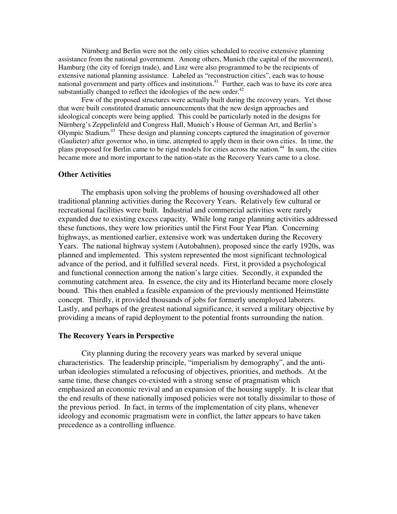Nürnberg and Berlin were not the only cities scheduled to receive extensive planning assistance from the national government. Among others, Munich (the capital of the movement), Hamburg (the city of foreign trade), and Linz were also programmed to be the recipients of extensive national planning assistance. Labeled as "reconstruction cities", each was to house national government and party offices and institutions.<sup>41</sup> Further, each was to have its core area substantially changed to reflect the ideologies of the new order.<sup>42</sup>

 Few of the proposed structures were actually built during the recovery years. Yet those that were built constituted dramatic announcements that the new design approaches and ideological concepts were being applied. This could be particularly noted in the designs for Nürnberg's Zeppelinfeld and Congress Hall, Munich's House of German Art, and Berlin's Olympic Stadium.<sup>43</sup> These design and planning concepts captured the imagination of governor (Gaulieter) after governor who, in time, attempted to apply them in their own cities. In time, the plans proposed for Berlin came to be rigid models for cities across the nation.<sup>44</sup> In sum, the cities became more and more important to the nation-state as the Recovery Years came to a close.

#### **Other Activities**

 The emphasis upon solving the problems of housing overshadowed all other traditional planning activities during the Recovery Years. Relatively few cultural or recreational facilities were built. Industrial and commercial activities were rarely expanded due to existing excess capacity. While long range planning activities addressed these functions, they were low priorities until the First Four Year Plan. Concerning highways, as mentioned earlier, extensive work was undertaken during the Recovery Years. The national highway system (Autobahnen), proposed since the early 1920s, was planned and implemented. This system represented the most significant technological advance of the period, and it fulfilled several needs. First, it provided a psychological and functional connection among the nation's large cities. Secondly, it expanded the commuting catchment area. In essence, the city and its Hinterland became more closely bound. This then enabled a feasible expansion of the previously mentioned Heimstätte concept. Thirdly, it provided thousands of jobs for formerly unemployed laborers. Lastly, and perhaps of the greatest national significance, it served a military objective by providing a means of rapid deployment to the potential fronts surrounding the nation.

#### **The Recovery Years in Perspective**

 City planning during the recovery years was marked by several unique characteristics. The leadership principle, "imperialism by demography", and the antiurban ideologies stimulated a refocusing of objectives, priorities, and methods. At the same time, these changes co-existed with a strong sense of pragmatism which emphasized an economic revival and an expansion of the housing supply. It is clear that the end results of these nationally imposed policies were not totally dissimilar to those of the previous period. In fact, in terms of the implementation of city plans, whenever ideology and economic pragmatism were in conflict, the latter appears to have taken precedence as a controlling influence.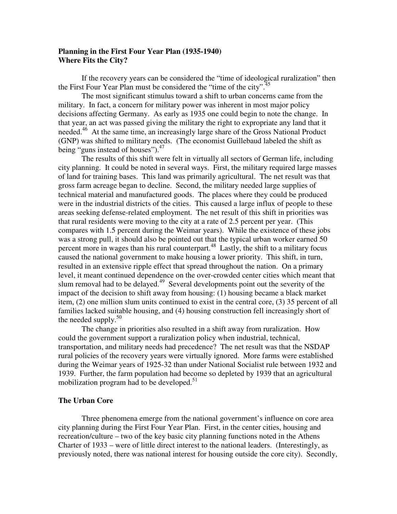## **Planning in the First Four Year Plan (1935-1940) Where Fits the City?**

 If the recovery years can be considered the "time of ideological ruralization" then the First Four Year Plan must be considered the "time of the city".<sup>45</sup>

 The most significant stimulus toward a shift to urban concerns came from the military. In fact, a concern for military power was inherent in most major policy decisions affecting Germany. As early as 1935 one could begin to note the change. In that year, an act was passed giving the military the right to expropriate any land that it needed.<sup>46</sup> At the same time, an increasingly large share of the Gross National Product (GNP) was shifted to military needs. (The economist Guillebaud labeled the shift as being "guns instead of houses"). $47$ 

 The results of this shift were felt in virtually all sectors of German life, including city planning. It could be noted in several ways. First, the military required large masses of land for training bases. This land was primarily agricultural. The net result was that gross farm acreage began to decline. Second, the military needed large supplies of technical material and manufactured goods. The places where they could be produced were in the industrial districts of the cities. This caused a large influx of people to these areas seeking defense-related employment. The net result of this shift in priorities was that rural residents were moving to the city at a rate of 2.5 percent per year. (This compares with 1.5 percent during the Weimar years). While the existence of these jobs was a strong pull, it should also be pointed out that the typical urban worker earned 50 percent more in wages than his rural counterpart.<sup>48</sup> Lastly, the shift to a military focus caused the national government to make housing a lower priority. This shift, in turn, resulted in an extensive ripple effect that spread throughout the nation. On a primary level, it meant continued dependence on the over-crowded center cities which meant that slum removal had to be delayed.<sup>49</sup> Several developments point out the severity of the impact of the decision to shift away from housing: (1) housing became a black market item, (2) one million slum units continued to exist in the central core, (3) 35 percent of all families lacked suitable housing, and (4) housing construction fell increasingly short of the needed supply. $50$ 

 The change in priorities also resulted in a shift away from ruralization. How could the government support a ruralization policy when industrial, technical, transportation, and military needs had precedence? The net result was that the NSDAP rural policies of the recovery years were virtually ignored. More farms were established during the Weimar years of 1925-32 than under National Socialist rule between 1932 and 1939. Further, the farm population had become so depleted by 1939 that an agricultural mobilization program had to be developed.<sup>51</sup>

#### **The Urban Core**

 Three phenomena emerge from the national government's influence on core area city planning during the First Four Year Plan. First, in the center cities, housing and recreation/culture – two of the key basic city planning functions noted in the Athens Charter of 1933 – were of little direct interest to the national leaders. (Interestingly, as previously noted, there was national interest for housing outside the core city). Secondly,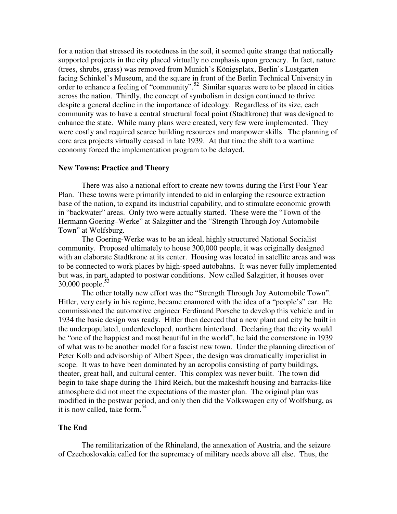for a nation that stressed its rootedness in the soil, it seemed quite strange that nationally supported projects in the city placed virtually no emphasis upon greenery. In fact, nature (trees, shrubs, grass) was removed from Munich's Königsplatx, Berlin's Lustgarten facing Schinkel's Museum, and the square in front of the Berlin Technical University in order to enhance a feeling of "community".<sup>52</sup> Similar squares were to be placed in cities across the nation. Thirdly, the concept of symbolism in design continued to thrive despite a general decline in the importance of ideology. Regardless of its size, each community was to have a central structural focal point (Stadtkrone) that was designed to enhance the state. While many plans were created, very few were implemented. They were costly and required scarce building resources and manpower skills. The planning of core area projects virtually ceased in late 1939. At that time the shift to a wartime economy forced the implementation program to be delayed.

#### **New Towns: Practice and Theory**

 There was also a national effort to create new towns during the First Four Year Plan. These towns were primarily intended to aid in enlarging the resource extraction base of the nation, to expand its industrial capability, and to stimulate economic growth in "backwater" areas. Only two were actually started. These were the "Town of the Hermann Goering–Werke" at Salzgitter and the "Strength Through Joy Automobile Town" at Wolfsburg.

 The Goering-Werke was to be an ideal, highly structured National Socialist community. Proposed ultimately to house 300,000 people, it was originally designed with an elaborate Stadtkrone at its center. Housing was located in satellite areas and was to be connected to work places by high-speed autobahns. It was never fully implemented but was, in part, adapted to postwar conditions. Now called Salzgitter, it houses over 30,000 people. $53$ 

 The other totally new effort was the "Strength Through Joy Automobile Town". Hitler, very early in his regime, became enamored with the idea of a "people's" car. He commissioned the automotive engineer Ferdinand Porsche to develop this vehicle and in 1934 the basic design was ready. Hitler then decreed that a new plant and city be built in the underpopulated, underdeveloped, northern hinterland. Declaring that the city would be "one of the happiest and most beautiful in the world", he laid the cornerstone in 1939 of what was to be another model for a fascist new town. Under the planning direction of Peter Kolb and advisorship of Albert Speer, the design was dramatically imperialist in scope. It was to have been dominated by an acropolis consisting of party buildings, theater, great hall, and cultural center. This complex was never built. The town did begin to take shape during the Third Reich, but the makeshift housing and barracks-like atmosphere did not meet the expectations of the master plan. The original plan was modified in the postwar period, and only then did the Volkswagen city of Wolfsburg, as it is now called, take form.<sup>54</sup>

#### **The End**

 The remilitarization of the Rhineland, the annexation of Austria, and the seizure of Czechoslovakia called for the supremacy of military needs above all else. Thus, the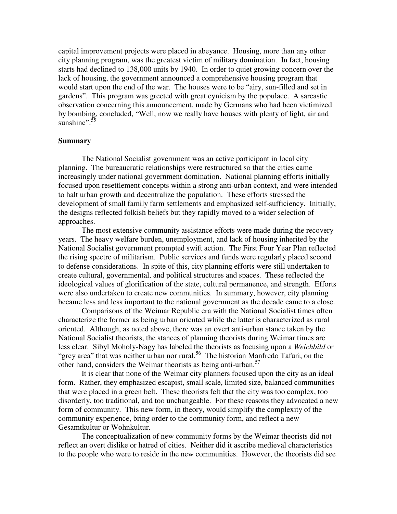capital improvement projects were placed in abeyance. Housing, more than any other city planning program, was the greatest victim of military domination. In fact, housing starts had declined to 138,000 units by 1940. In order to quiet growing concern over the lack of housing, the government announced a comprehensive housing program that would start upon the end of the war. The houses were to be "airy, sun-filled and set in gardens". This program was greeted with great cynicism by the populace. A sarcastic observation concerning this announcement, made by Germans who had been victimized by bombing, concluded, "Well, now we really have houses with plenty of light, air and sunshine".<sup>55</sup>

#### **Summary**

 The National Socialist government was an active participant in local city planning. The bureaucratic relationships were restructured so that the cities came increasingly under national government domination. National planning efforts initially focused upon resettlement concepts within a strong anti-urban context, and were intended to halt urban growth and decentralize the population. These efforts stressed the development of small family farm settlements and emphasized self-sufficiency. Initially, the designs reflected folkish beliefs but they rapidly moved to a wider selection of approaches.

 The most extensive community assistance efforts were made during the recovery years. The heavy welfare burden, unemployment, and lack of housing inherited by the National Socialist government prompted swift action. The First Four Year Plan reflected the rising spectre of militarism. Public services and funds were regularly placed second to defense considerations. In spite of this, city planning efforts were still undertaken to create cultural, governmental, and political structures and spaces. These reflected the ideological values of glorification of the state, cultural permanence, and strength. Efforts were also undertaken to create new communities. In summary, however, city planning became less and less important to the national government as the decade came to a close.

 Comparisons of the Weimar Republic era with the National Socialist times often characterize the former as being urban oriented while the latter is characterized as rural oriented. Although, as noted above, there was an overt anti-urban stance taken by the National Socialist theorists, the stances of planning theorists during Weimar times are less clear. Sibyl Moholy-Nagy has labeled the theorists as focusing upon a *Weichbild* or "grey area" that was neither urban nor rural.<sup>56</sup> The historian Manfredo Tafuri, on the other hand, considers the Weimar theorists as being anti-urban.<sup>57</sup>

 It is clear that none of the Weimar city planners focused upon the city as an ideal form. Rather, they emphasized escapist, small scale, limited size, balanced communities that were placed in a green belt. These theorists felt that the city was too complex, too disorderly, too traditional, and too unchangeable. For these reasons they advocated a new form of community. This new form, in theory, would simplify the complexity of the community experience, bring order to the community form, and reflect a new Gesamtkultur or Wohnkultur.

 The conceptualization of new community forms by the Weimar theorists did not reflect an overt dislike or hatred of cities. Neither did it ascribe medieval characteristics to the people who were to reside in the new communities. However, the theorists did see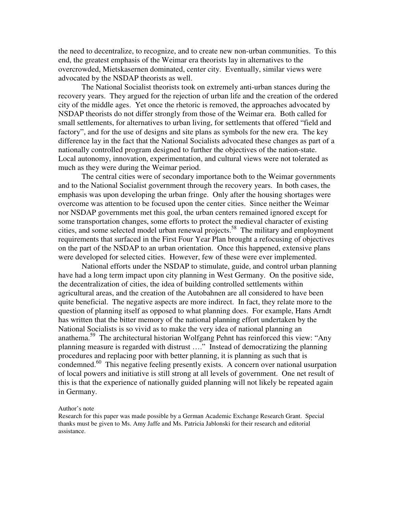the need to decentralize, to recognize, and to create new non-urban communities. To this end, the greatest emphasis of the Weimar era theorists lay in alternatives to the overcrowded, Mietskasernen dominated, center city. Eventually, similar views were advocated by the NSDAP theorists as well.

 The National Socialist theorists took on extremely anti-urban stances during the recovery years. They argued for the rejection of urban life and the creation of the ordered city of the middle ages. Yet once the rhetoric is removed, the approaches advocated by NSDAP theorists do not differ strongly from those of the Weimar era. Both called for small settlements, for alternatives to urban living, for settlements that offered "field and factory", and for the use of designs and site plans as symbols for the new era. The key difference lay in the fact that the National Socialists advocated these changes as part of a nationally controlled program designed to further the objectives of the nation-state. Local autonomy, innovation, experimentation, and cultural views were not tolerated as much as they were during the Weimar period.

 The central cities were of secondary importance both to the Weimar governments and to the National Socialist government through the recovery years. In both cases, the emphasis was upon developing the urban fringe. Only after the housing shortages were overcome was attention to be focused upon the center cities. Since neither the Weimar nor NSDAP governments met this goal, the urban centers remained ignored except for some transportation changes, some efforts to protect the medieval character of existing cities, and some selected model urban renewal projects.<sup>58</sup> The military and employment requirements that surfaced in the First Four Year Plan brought a refocusing of objectives on the part of the NSDAP to an urban orientation. Once this happened, extensive plans were developed for selected cities. However, few of these were ever implemented.

 National efforts under the NSDAP to stimulate, guide, and control urban planning have had a long term impact upon city planning in West Germany. On the positive side, the decentralization of cities, the idea of building controlled settlements within agricultural areas, and the creation of the Autobahnen are all considered to have been quite beneficial. The negative aspects are more indirect. In fact, they relate more to the question of planning itself as opposed to what planning does. For example, Hans Arndt has written that the bitter memory of the national planning effort undertaken by the National Socialists is so vivid as to make the very idea of national planning an anathema.<sup>59</sup> The architectural historian Wolfgang Pehnt has reinforced this view: "Any planning measure is regarded with distrust …." Instead of democratizing the planning procedures and replacing poor with better planning, it is planning as such that is condemned.<sup>60</sup> This negative feeling presently exists. A concern over national usurpation of local powers and initiative is still strong at all levels of government. One net result of this is that the experience of nationally guided planning will not likely be repeated again in Germany.

#### Author's note

Research for this paper was made possible by a German Academic Exchange Research Grant. Special thanks must be given to Ms. Amy Jaffe and Ms. Patricia Jablonski for their research and editorial assistance.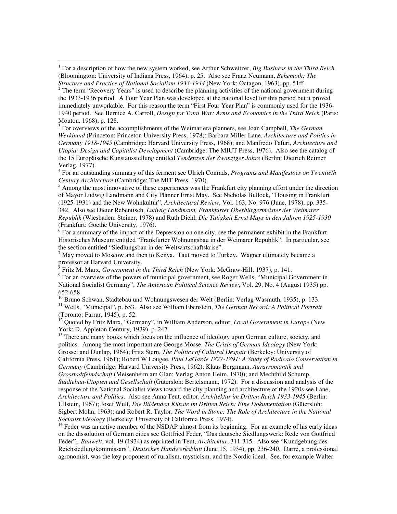$\overline{a}$ 

3 For overviews of the accomplishments of the Weimar era planners, see Joan Campbell, *The German Werkbund* (Princeton: Princeton University Press, 1978); Barbara Miller Lane, *Architecture and Politics in Germany 1918-1945* (Cambridge: Harvard University Press, 1968); and Manfredo Tafuri, *Architecture and Utopia: Design and Capitalist Development* (Cambridge: The MIUT Press, 1976). Also see the catalog of the 15 Europäische Kunstausstellung entitled *Tendenzen der Zwanziger Jahre* (Berlin: Dietrich Reimer Verlag, 1977).

4 For an outstanding summary of this ferment see Ulrich Conrads, *Programs and Manifestoes on Twentieth Century Architecture* (Cambridge: The MIT Press, 1970).

<sup>5</sup> Among the most innovative of these experiences was the Frankfurt city planning effort under the direction of Mayor Ludwig Landmann and City Planner Ernst May. See Nicholas Bullock, "Housing in Frankfurt (1925-1931) and the New Wohnkultur", *Architectural Review*, Vol. 163, No. 976 (June, 1978), pp. 335- 342. Also see Dieter Rebentisch, *Ludwig Landmann, Frankfurter Oberbürgermeister der Weimarer Republik* (Wiesbaden: Steiner, 1978) and Ruth Diehl, *Die Tätigkeit Ernst Mays in den Jahren 1925-1930* (Frankfurt: Goethe University, 1976).

 $6$  For a summary of the impact of the Depression on one city, see the permanent exhibit in the Frankfurt Historisches Museum entitled "Frankfurter Wohnungsbau in der Weimarer Republik". In particular, see the section entitled "Siedlungsbau in der Weltwirtschaftskrise".

 $<sup>7</sup>$  May moved to Moscow and then to Kenya. Taut moved to Turkey. Wagner ultimately became a</sup> professor at Harvard University.

8 Fritz M. Marx, *Government in the Third Reich* (New York: McGraw-Hill, 1937), p. 141.

<sup>9</sup> For an overview of the powers of municipal government, see Roger Wells, "Municipal Government in National Socialist Germany", *The American Political Science Review*, Vol. 29, No. 4 (August 1935) pp. 652-658.

 $10$  Bruno Schwan, Städtebau und Wohnungswesen der Welt (Berlin: Verlag Wasmuth, 1935), p. 133.

<sup>11</sup> Wells, "Municipal", p. 653. Also see William Ebenstein, *The German Record: A Political Portrait* (Toronto: Farrar, 1945), p. 52.

<sup>12</sup> Quoted by Fritz Marx, "Germany", in William Anderson, editor, *Local Government in Europe* (New York: D. Appleton Century, 1939), p. 247.

<sup>13</sup> There are many books which focus on the influence of ideology upon German culture, society, and politics. Among the most important are George Mosse, *The Crisis of German Ideology* (New York: Grosset and Dunlap, 1964); Fritz Stern, *The Politics of Cultural Despair* (Berkeley: University of California Press, 1961); Robert W Lougee, *Paul LaGarde 1827-1891: A Study of Radicalo Conservatism in Germany* (Cambridge: Harvard University Press, 1962); Klaus Bergmann, *Agrarromantik und Grosstadtfeindschaft* (Meisenheim am Glan: Verlag Anton Heim, 1970); and Mechthild Schump, *Städtebau-Utopien und Gesellschaft* (Gütersloh: Bertelsmann, 1972). For a discussion and analysis of the response of the National Socialist views toward the city planning and architecture of the 1920s see Lane, *Architecture and Politics*. Also see Anna Teut, editor, *Architektur im Dritten Reich 1933-1945* (Berlin: Ullstein, 1967); Josef Wulf, *Die Bildenden Künste im Dritten Reich: Eine Dokumentation* (Gütersloh: Sigbert Mohn, 1963); and Robert R. Taylor, *The Word in Stone: The Role of Architecture in the National Socialist Ideology* (Berkeley: University of California Press, 1974).

<sup>14</sup> Feder was an active member of the NSDAP almost from its beginning. For an example of his early ideas on the dissolution of German cities see Gottfried Feder, "Das deutsche Siedlungswerk: Rede von Gottfried Feder", *Bauwelt*, vol. 19 (1934) as reprinted in Teut, *Architektur*, 311-315. Also see "Kundgebung des Reichsiedlungkommissars", *Deutsches Handwerksblatt* (June 15, 1934), pp. 236-240. Darré, a professional agronomist, was the key proponent of ruralism, mysticism, and the Nordic ideal. See, for example Walter

<sup>1</sup> For a description of how the new system worked, see Arthur Schweitzer, *Big Business in the Third Reich* (Bloomington: University of Indiana Press, 1964), p. 25. Also see Franz Neumann, *Behemoth: The Structure and Practice of National Socialism 1933-1944* (New York: Octagon, 1963), pp. 51ff.

 $2$  The term "Recovery Years" is used to describe the planning activities of the national government during the 1933-1936 period. A Four Year Plan was developed at the national level for this period but it proved immediately unworkable. For this reason the term "First Four Year Plan" is commonly used for the 1936- 1940 period. See Bernice A. Carroll, *Design for Total War: Arms and Economics in the Third Reich* (Paris: Mouton, 1968), p. 128.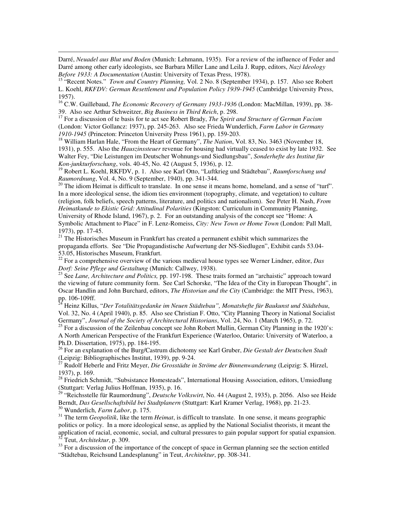Darré, *Neuadel aus Blut und Boden* (Munich: Lehmann, 1935). For a review of the influence of Feder and Darré among other early ideologists, see Barbara Miller Lane and Leila J. Rupp, editors, *Nazi Ideology Before 1933: A Documentation* (Austin: University of Texas Press, 1978).

 $\overline{a}$ 

<sup>15</sup> "Recent Notes." *Town and Country Planning*, Vol. 2 No. 8 (September 1934), p. 157. Also see Robert L. Koehl, *RKFDV: German Resettlement and Population Policy 1939-1945* (Cambridge University Press, 1957).

<sup>16</sup> C.W. Guillebaud, *The Economic Recovery of Germany 1933-1936* (London: MacMillan, 1939), pp. 38- 39. Also see Arthur Schweitzer, *Big Business in Third Reich*, p. 298.

<sup>17</sup> For a discussion of te basis for te act see Robert Brady, *The Spirit and Structure of German Facism* (London: Victor Gollancz: 1937), pp. 245-263. Also see Frieda Wunderlich, *Farm Labor in Germany 1910-1945* (Princeton: Princeton University Press 1961), pp. 159-203.

<sup>18</sup> William Harlan Hale, "From the Heart of Germany", *The Nation*, Vol. 83, No. 3463 (November 18, 1931), p. 555. Also the *Hauszinssteuer* revenue for housing had virtually ceased to exist by late 1932. See Walter Fey, "Die Leistungen im Deutscher Wohnungs-und Siedlungsbau", *Sonderhefte des Institut für Kon-junkturforschung*, vols. 40-45, No. 42 (August 5, 1936), p. 12.

<sup>19</sup> Robert L. Koehl, RKFDV, p. 1. Also see Karl Otto, "Luftkrieg und Städtebau", *Raumforschung und Raumordnung*, Vol. 4, No. 9 (September, 1940), pp. 341-344.

<sup>20</sup> The idiom Heimat is difficult to translate. In one sense it means home, homeland, and a sense of "turf". In a more ideological sense, the idiom ties environment (topography, climate, and vegetation) to culture (religion, folk beliefs, speech patterns, literature, and politics and nationalism). See Peter H. Nash, *From Heimatkunde to Ekistic Grid: Attitudinal Polarities* (Kingston: Curriculum in Community Planning, University of Rhode Island, 1967), p. 2. For an outstanding analysis of the concept see "Home: A Symbolic Attachment to Place" in F. Lenz-Romeiss, *City: New Town or Home Town* (London: Pall Mall, 1973), pp. 17-45.

 $21$  The Historisches Museum in Frankfurt has created a permanent exhibit which summarizes the propaganda efforts. See "Die Propagandistische Aufwertung der NS-Siedlugen", Exhibit cards 53.04- 53.05, Historisches Museum, Frankfurt.

<sup>22</sup> For a comprehensive overview of the various medieval house types see Werner Lindner, editor, *Das Dorf: Seine Pflege und Gestaltung* (Munich: Callwey, 1938).

<sup>23</sup> See *Lane, Architecture and Politics,* pp. 197-198. These traits formed an "archaistic" approach toward the viewing of future community form. See Carl Schorske, "The Idea of the City in European Thought", in Oscar Handlin and John Burchard, editors, *The Historian and the City* (Cambridge: the MIT Press, 1963), pp. 106-109ff.

<sup>24</sup> Heinz Killus, "*Der Totalitätsgedanke im Neuen Städtebau", Monatshefte für Baukunst und Städtebau*, Vol. 32, No. 4 (April 1940), p. 85. Also see Christian F. Otto, "City Planning Theory in National Socialist Germany", *Journal of the Society of Architectural Historians*, Vol. 24, No. 1 (March 1965), p. 72.

<sup>25</sup> For a discussion of the Zeilenbau concept see John Robert Mullin, German City Planning in the 1920's: A North American Perspective of the Frankfurt Experience (Waterloo, Ontario: University of Waterloo, a Ph.D. Dissertation, 1975), pp. 184-195.

<sup>26</sup> For an explanation of the Burg/Castrum dichotomy see Karl Gruber, *Die Gestalt der Deutschen Stadt* (Leipzig: Bibliographisches Institut, 1939), pp. 9-24.

<sup>27</sup> Rudolf Heberle and Fritz Meyer, *Die Grosstädte in Ströme der Binnenwanderung* (Leipzig: S. Hirzel, 1937), p. 169.

<sup>28</sup> Friedrich Schmidt, "Subsistance Homesteads", International Housing Association, editors, Umsiedlung (Stuttgart: Verlag Julius Hoffman, 1935), p. 16.

<sup>29</sup> "Reichsstelle für Raumordnung", *Deutsche Volkswirt*, No. 44 (August 2, 1935), p. 2056. Also see Heide Berndt, *Das Gesellschaftsbild bei Stadtplanern* (Stuttgart: Karl Kramer Verlag, 1968), pp. 21-23. <sup>30</sup> Wunderlich, *Farm Labor*, p. 175.

<sup>31</sup> The term *Geopolitik*, like the term *Heimat*, is difficult to translate. In one sense, it means geographic politics or policy. In a more ideological sense, as applied by the National Socialist theorists, it meant the application of racial, economic, social, and cultural pressures to gain popular support for spatial expansion. <sup>32</sup> Teut, *Architektur*, p. 309.

<sup>33</sup> For a discussion of the importance of the concept of space in German planning see the section entitled "Städtebau, Reichsund Landesplanung" in Teut, *Architektur*, pp. 308-341.